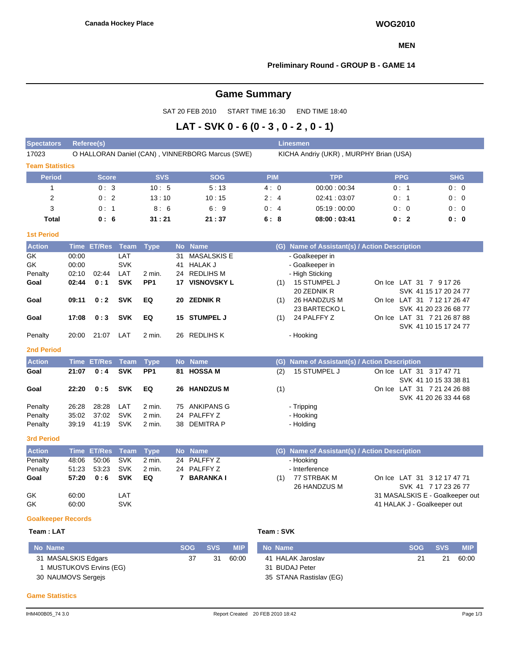#### **MEN**

### **Preliminary Round - GROUP B - GAME 14**

# **Game Summary**

SAT 20 FEB 2010 START TIME 16:30 END TIME 18:40

# **LAT - SVK 0 - 6 (0 - 3 , 0 - 2 , 0 - 1)**

| <b>Spectators</b>         | Referee(s)<br><b>Linesmen</b> |               |                          |                           |           |                                                  |                                        |     |                                                |  |                                                                               |            |  |  |
|---------------------------|-------------------------------|---------------|--------------------------|---------------------------|-----------|--------------------------------------------------|----------------------------------------|-----|------------------------------------------------|--|-------------------------------------------------------------------------------|------------|--|--|
| 17023                     |                               |               |                          |                           |           | O HALLORAN Daniel (CAN), VINNERBORG Marcus (SWE) | KICHA Andriy (UKR), MURPHY Brian (USA) |     |                                                |  |                                                                               |            |  |  |
| <b>Team Statistics</b>    |                               |               |                          |                           |           |                                                  |                                        |     |                                                |  |                                                                               |            |  |  |
| <b>Period</b>             |                               | <b>Score</b>  |                          | <b>SVS</b>                |           | <b>SOG</b>                                       | <b>PIM</b>                             |     | <b>TPP</b>                                     |  | <b>PPG</b>                                                                    | <b>SHG</b> |  |  |
| $\mathbf{1}$              |                               | 0:3           |                          | 10:5                      |           | 5:13                                             | 4:0                                    |     | 00:00:00:34                                    |  | 0:1                                                                           | 0:0        |  |  |
| $\mathbf 2$               |                               | 0:2           |                          | 13:10                     |           | 10:15                                            | 2:4                                    |     | 02:41:03:07                                    |  | 0:1                                                                           | 0:0        |  |  |
| 3                         |                               | 0:1           |                          | 8:6                       |           | 6:9                                              | 0:4                                    |     | 05:19:00:00                                    |  | 0:0                                                                           | 0:0        |  |  |
| <b>Total</b>              |                               | 0:6           |                          | 31:21                     |           | 21:37                                            | 6:8                                    |     | 08:00:03:41                                    |  | 0:2                                                                           | 0:0        |  |  |
| <b>1st Period</b>         |                               |               |                          |                           |           |                                                  |                                        |     |                                                |  |                                                                               |            |  |  |
| <b>Action</b>             | <b>Time</b>                   | <b>ET/Res</b> | <b>Team</b>              | <b>Type</b>               | <b>No</b> | <b>Name</b>                                      |                                        | (G) | Name of Assistant(s) / Action Description      |  |                                                                               |            |  |  |
| GK<br>GK                  | 00:00<br>00:00                |               | LAT<br><b>SVK</b>        |                           | 31<br>41  | <b>MASALSKIS E</b><br><b>HALAK J</b>             |                                        |     | - Goalkeeper in<br>- Goalkeeper in             |  |                                                                               |            |  |  |
| Penalty<br>Goal           | 02:10<br>02:44                | 02:44<br>0:1  | LAT<br><b>SVK</b>        | 2 min.<br>PP <sub>1</sub> |           | 24 REDLIHS M<br><b>17 VISNOVSKY L</b>            |                                        | (1) | - High Sticking<br>15 STUMPEL J<br>20 ZEDNIK R |  | On Ice LAT 31 7 9 17 26<br>SVK 41 15 17 20 24 77                              |            |  |  |
| Goal                      | 09:11                         | 0:2           | <b>SVK</b>               | EQ                        |           | 20 ZEDNIK R                                      |                                        | (1) | 26 HANDZUS M<br>23 BARTECKO L                  |  | On Ice LAT 31 7 12 17 26 47<br>SVK 41 20 23 26 68 77                          |            |  |  |
| Goal                      | 17:08                         | 0:3           | <b>SVK</b>               | EQ                        |           | 15 STUMPEL J                                     |                                        | (1) | 24 PALFFY Z                                    |  | On Ice LAT 31 7 21 26 87 88<br>SVK 41 10 15 17 24 77                          |            |  |  |
| Penalty                   | 20:00                         | 21:07         | LAT                      | 2 min.                    |           | 26 REDLIHS K                                     |                                        |     | - Hooking                                      |  |                                                                               |            |  |  |
| <b>2nd Period</b>         |                               |               |                          |                           |           |                                                  |                                        |     |                                                |  |                                                                               |            |  |  |
| <b>Action</b>             |                               | Time ET/Res   | <b>Team</b>              | <b>Type</b>               |           | No Name                                          |                                        | (G) | Name of Assistant(s) / Action Description      |  |                                                                               |            |  |  |
| Goal                      | 21:07                         | 0:4           | <b>SVK</b>               | PP <sub>1</sub>           | 81        | <b>HOSSA M</b>                                   |                                        | (2) | 15 STUMPEL J                                   |  | On Ice LAT 31 3 17 47 71                                                      |            |  |  |
| Goal                      | 22:20                         | 0:5           | <b>SVK</b>               | EQ                        |           | 26 HANDZUS M                                     |                                        | (1) |                                                |  | SVK 41 10 15 33 38 81<br>On Ice LAT 31 7 21 24 26 88<br>SVK 41 20 26 33 44 68 |            |  |  |
| Penalty                   | 26:28                         | 28:28         | LAT                      | 2 min.                    |           | 75 ANKIPANS G                                    |                                        |     | - Tripping                                     |  |                                                                               |            |  |  |
| Penalty                   | 35:02                         | 37:02         | <b>SVK</b>               | 2 min.                    | 24        | PALFFY Z                                         |                                        |     | - Hooking                                      |  |                                                                               |            |  |  |
| Penalty                   | 39:19                         | 41:19         | <b>SVK</b>               | 2 min.                    |           | 38 DEMITRA P                                     |                                        |     | - Holding                                      |  |                                                                               |            |  |  |
| <b>3rd Period</b>         |                               |               |                          |                           |           |                                                  |                                        |     |                                                |  |                                                                               |            |  |  |
| <b>Action</b>             |                               | Time ET/Res   | <b>Team</b>              | <b>Type</b>               | <b>No</b> | <b>Name</b>                                      |                                        |     | (G) Name of Assistant(s) / Action Description  |  |                                                                               |            |  |  |
| Penalty                   | 48:06                         | 50:06         | <b>SVK</b>               | 2 min.                    |           | 24 PALFFY Z                                      |                                        |     | - Hooking                                      |  |                                                                               |            |  |  |
| Penalty<br>Goal           | 51:23<br>57:20                | 53:23<br>0:6  | <b>SVK</b><br><b>SVK</b> | 2 min.<br>EQ              |           | 24 PALFFY Z<br>7 BARANKA I                       |                                        | (1) | - Interference<br>77 STRBAK M<br>26 HANDZUS M  |  | On Ice LAT 31 3 12 17 47 71<br>SVK 41 7 17 23 26 77                           |            |  |  |
| GK<br>GK                  | 60:00<br>60:00                |               | LAT<br><b>SVK</b>        |                           |           |                                                  |                                        |     |                                                |  | 31 MASALSKIS E - Goalkeeper out<br>41 HALAK J - Goalkeeper out                |            |  |  |
| <b>Goalkeeper Records</b> |                               |               |                          |                           |           |                                                  |                                        |     |                                                |  |                                                                               |            |  |  |
| Team: LAT                 |                               |               |                          |                           |           |                                                  | Team: SVK                              |     |                                                |  |                                                                               |            |  |  |

| No Name                 | <b>SOG</b> | <b>SVS</b> | <b>MIP</b> | No Name                 | <b>SOG</b> | <b>SVS</b> | <b>MIP</b> |
|-------------------------|------------|------------|------------|-------------------------|------------|------------|------------|
| 31 MASALSKIS Edgars     | 37         | 31         | 60:00      | 41 HALAK Jaroslav       | 21         | 21         | 60:00      |
| 1 MUSTUKOVS Ervins (EG) |            |            |            | 31 BUDAJ Peter          |            |            |            |
| 30 NAUMOVS Sergejs      |            |            |            | 35 STANA Rastislav (EG) |            |            |            |

#### **Game Statistics**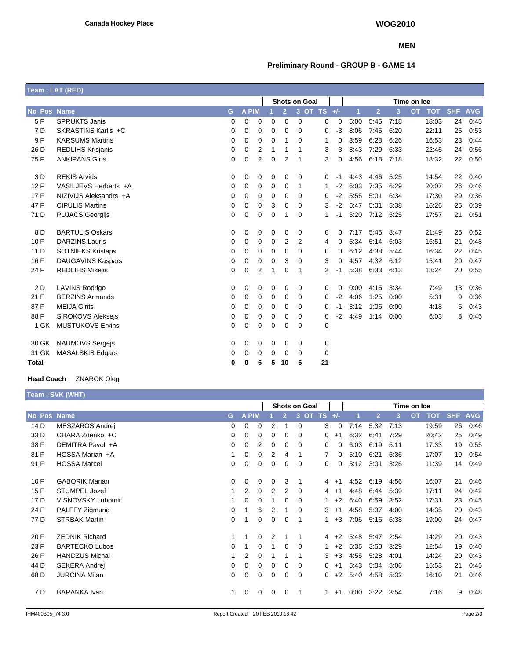#### **MEN**

## **Preliminary Round - GROUP B - GAME 14**

|             | Team: LAT (RED)          |   |              |                |             |                |                      |               |      |      |                |      |                         |            |            |
|-------------|--------------------------|---|--------------|----------------|-------------|----------------|----------------------|---------------|------|------|----------------|------|-------------------------|------------|------------|
|             |                          |   |              |                |             |                | <b>Shots on Goal</b> |               |      |      |                |      | Time on Ice             |            |            |
| No Pos Name |                          | G | <b>A PIM</b> |                |             | $\overline{2}$ |                      | 3 OT TS $+/-$ |      | 1    | $\overline{2}$ | 3    | <b>TOT</b><br><b>OT</b> | <b>SHF</b> | <b>AVG</b> |
| 5F          | <b>SPRUKTS Janis</b>     | 0 | 0            | 0              | 0           | 0              | 0                    | 0             | 0    | 5:00 | 5:45           | 7:18 | 18:03                   | 24         | 0:45       |
| 7 D         | SKRASTINS Karlis +C      | 0 | 0            | 0              | 0           | 0              | 0                    | $\mathbf 0$   | -3   | 8:06 | 7:45           | 6:20 | 22:11                   | 25         | 0.53       |
| 9F          | <b>KARSUMS Martins</b>   | 0 | 0            | 0              | 0           | 1              | $\Omega$             | 1             | 0    | 3:59 | 6:28           | 6:26 | 16:53                   | 23         | 0:44       |
| 26 D        | <b>REDLIHS Krisjanis</b> | 0 | 0            | 2              | 1           | 1              | 1                    | 3             | -3   | 8:43 | 7:29           | 6:33 | 22:45                   | 24         | 0:56       |
| 75 F        | <b>ANKIPANS Girts</b>    | 0 | 0            | $\overline{2}$ | $\mathbf 0$ | $\overline{2}$ | 1                    | 3             | 0    | 4:56 | 6:18           | 7:18 | 18:32                   | 22         | 0:50       |
| 3 D         | <b>REKIS Arvids</b>      | 0 | 0            | 0              | 0           | 0              | 0                    | 0             | -1   | 4:43 | 4:46           | 5:25 | 14:54                   | 22         | 0:40       |
| 12F         | VASILJEVS Herberts +A    | 0 | 0            | 0              | 0           | 0              | 1                    | 1             | $-2$ | 6:03 | 7:35           | 6:29 | 20:07                   | 26         | 0:46       |
| 17F         | NIZIVIJS Aleksandrs +A   | 0 | $\Omega$     | 0              | $\Omega$    | 0              | $\Omega$             | 0             | -2   | 5:55 | 5:01           | 6:34 | 17:30                   | 29         | 0:36       |
| 47 F        | <b>CIPULIS Martins</b>   | 0 | 0            | 0              | 3           | 0              | 0                    | 3             | $-2$ | 5:47 | 5:01           | 5:38 | 16:26                   | 25         | 0:39       |
| 71 D        | <b>PUJACS Georgijs</b>   | 0 | 0            | 0              | $\mathbf 0$ | 1              | $\mathbf 0$          | 1             | -1   | 5:20 | 7:12           | 5:25 | 17:57                   | 21         | 0:51       |
| 8 D         | <b>BARTULIS Oskars</b>   | 0 | 0            | 0              | $\mathbf 0$ | 0              | 0                    | 0             | 0    | 7:17 | 5:45           | 8:47 | 21:49                   | 25         | 0:52       |
| 10F         | <b>DARZINS Lauris</b>    | 0 | 0            | 0              | 0           | 2              | 2                    | 4             | 0    | 5:34 | 5:14           | 6:03 | 16:51                   | 21         | 0:48       |
| 11 D        | <b>SOTNIEKS Kristaps</b> | 0 | 0            | 0              | 0           | 0              | 0                    | 0             | 0    | 6:12 | 4:38           | 5:44 | 16:34                   | 22         | 0:45       |
| 16 F        | <b>DAUGAVINS Kaspars</b> | 0 | 0            | 0              | 0           | 3              | 0                    | 3             | 0    | 4:57 | 4:32           | 6:12 | 15:41                   | 20         | 0:47       |
| 24 F        | <b>REDLIHS Mikelis</b>   | 0 | 0            | $\overline{2}$ | 1           | 0              | 1                    | 2             | -1   | 5:38 | 6:33           | 6:13 | 18:24                   | 20         | 0:55       |
| 2 D         | <b>LAVINS Rodrigo</b>    | 0 | 0            | 0              | 0           | 0              | 0                    | 0             | 0    | 0:00 | 4:15           | 3:34 | 7:49                    | 13         | 0:36       |
| 21 F        | <b>BERZINS Armands</b>   | 0 | 0            | 0              | 0           | 0              | 0                    | 0             | -2   | 4:06 | 1:25           | 0:00 | 5:31                    | 9          | 0:36       |
| 87F         | <b>MEIJA Gints</b>       | 0 | 0            | 0              | 0           | 0              | 0                    | 0             | -1   | 3:12 | 1:06           | 0:00 | 4:18                    | 6          | 0:43       |
| 88F         | <b>SIROKOVS Alekseis</b> | 0 | 0            | 0              | 0           | 0              | 0                    | 0             | $-2$ | 4:49 | 1:14           | 0:00 | 6:03                    | 8          | 0:45       |
| 1 GK        | <b>MUSTUKOVS Ervins</b>  | 0 | $\Omega$     | 0              | 0           | 0              | $\Omega$             | $\mathbf 0$   |      |      |                |      |                         |            |            |
| 30 GK       | <b>NAUMOVS</b> Sergeis   | 0 | 0            | 0              | $\mathbf 0$ | 0              | 0                    | $\mathbf 0$   |      |      |                |      |                         |            |            |
| 31 GK       | <b>MASALSKIS Edgars</b>  | 0 | 0            | 0              | 0           | 0              | 0                    | 0             |      |      |                |      |                         |            |            |
| Total       |                          | 0 | 0            | 6              | 5           | 10             | 6                    | 21            |      |      |                |      |                         |            |            |

### **Head Coach :** ZNAROK Oleg

|             | Team: SVK (WHT)       |          |       |             |          |                |                      |                |          |             |                |      |                         |            |            |
|-------------|-----------------------|----------|-------|-------------|----------|----------------|----------------------|----------------|----------|-------------|----------------|------|-------------------------|------------|------------|
|             |                       |          |       |             |          |                | <b>Shots on Goal</b> |                |          | Time on Ice |                |      |                         |            |            |
| No Pos Name |                       | G        | A PIM |             |          | $\overline{2}$ |                      | 3 OT TS $+/-$  |          |             | $\overline{2}$ | 3    | <b>OT</b><br><b>TOT</b> | <b>SHF</b> | <b>AVG</b> |
| 14 D        | MESZAROS Andrej       | 0        | 0     | 0           | 2        |                | $\Omega$             | 3              | $\Omega$ | 7:14        | 5:32           | 7:13 | 19:59                   | 26         | 0:46       |
| 33 D        | CHARA Zdenko +C       | 0        | 0     | 0           | 0        | 0              | $\Omega$             | 0              | $+1$     | 6:32        | 6:41           | 7:29 | 20:42                   | 25         | 0:49       |
| 38 F        | DEMITRA Pavol +A      | 0        | 0     | 2           | 0        | 0              | $\Omega$             | 0              | 0        | 6:03        | 6:19           | 5:11 | 17:33                   | 19         | 0:55       |
| 81 F        | HOSSA Marian +A       |          | 0     | $\Omega$    | 2        | 4              |                      | 7              | 0        | 5:10        | 6:21           | 5:36 | 17:07                   | 19         | 0:54       |
| 91 F        | <b>HOSSA Marcel</b>   | 0        | 0     | $\mathbf 0$ | 0        | 0              | 0                    | 0              | 0        | 5:12        | 3:01           | 3:26 | 11:39                   | 14         | 0:49       |
| 10F         | <b>GABORIK Marian</b> | $\Omega$ | 0     | 0           | $\Omega$ | 3              | 1                    | $\overline{4}$ | $+1$     | 4:52        | 6:19           | 4:56 | 16:07                   | 21         | 0:46       |
| 15F         | STUMPEL Jozef         |          | 2     | 0           | 2        | 2              | $\Omega$             | 4              | $+1$     | 4:48        | 6:44           | 5:39 | 17:11                   | 24         | 0:42       |
| 17 D        | VISNOVSKY Lubomir     |          | 0     | 0           |          | 0              | $\Omega$             | 1              | $+2$     | 6:40        | 6.59           | 3:52 | 17:31                   | 23         | 0:45       |
| 24 F        | PALFFY Zigmund        | 0        |       | 6           | 2        |                | $\Omega$             | 3              | $+1$     | 4:58        | 5:37           | 4:00 | 14:35                   | 20         | 0:43       |
| 77 D        | <b>STRBAK Martin</b>  | 0        | 1     | 0           | 0        | 0              | 1                    | $\mathbf{1}$   | $+3$     | 7:06        | 5:16           | 6:38 | 19:00                   | 24         | 0:47       |
| 20 F        | <b>ZEDNIK Richard</b> |          | 1     | 0           | 2        | 1              |                      | 4              | $+2$     | 5:48        | 5:47           | 2:54 | 14:29                   | 20         | 0:43       |
| 23 F        | <b>BARTECKO Lubos</b> | 0        |       | 0           |          | 0              | 0                    | 1              | $+2$     | 5:35        | 3:50           | 3:29 | 12:54                   | 19         | 0:40       |
| 26 F        | <b>HANDZUS Michal</b> |          | 2     | 0           |          |                |                      | 3              | $+3$     | 4:55        | 5:28           | 4:01 | 14:24                   | 20         | 0:43       |
| 44 D        | SEKERA Andrej         | 0        | 0     | 0           | 0        | 0              | $\Omega$             | 0              | $+1$     | 5:43        | 5:04           | 5:06 | 15:53                   | 21         | 0:45       |
| 68 D        | <b>JURCINA Milan</b>  | 0        | 0     | 0           | 0        | 0              | 0                    | 0              | $+2$     | 5:40        | 4:58           | 5:32 | 16:10                   | 21         | 0:46       |
| 7 D         | <b>BARANKA</b> Ivan   | 1        | 0     | 0           | 0        | 0              | -1                   | 1              | $+1$     | 0:00        | 3:22           | 3:54 | 7:16                    | 9          | 0:48       |